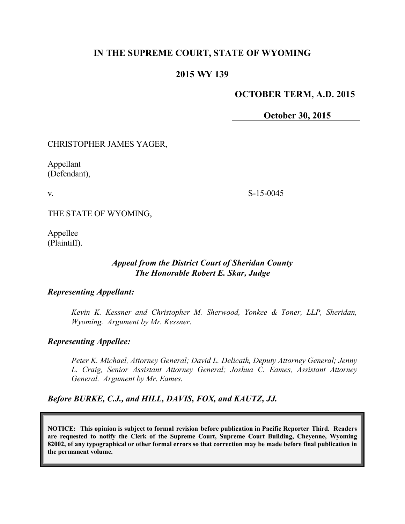# **IN THE SUPREME COURT, STATE OF WYOMING**

## **2015 WY 139**

### **OCTOBER TERM, A.D. 2015**

**October 30, 2015**

#### CHRISTOPHER JAMES YAGER,

Appellant (Defendant),

v.

S-15-0045

THE STATE OF WYOMING,

Appellee (Plaintiff).

#### *Appeal from the District Court of Sheridan County The Honorable Robert E. Skar, Judge*

#### *Representing Appellant:*

*Kevin K. Kessner and Christopher M. Sherwood, Yonkee & Toner, LLP, Sheridan, Wyoming. Argument by Mr. Kessner.*

#### *Representing Appellee:*

*Peter K. Michael, Attorney General; David L. Delicath, Deputy Attorney General; Jenny L. Craig, Senior Assistant Attorney General; Joshua C. Eames, Assistant Attorney General. Argument by Mr. Eames.*

*Before BURKE, C.J., and HILL, DAVIS, FOX, and KAUTZ, JJ.*

**NOTICE: This opinion is subject to formal revision before publication in Pacific Reporter Third. Readers are requested to notify the Clerk of the Supreme Court, Supreme Court Building, Cheyenne, Wyoming 82002, of any typographical or other formal errors so that correction may be made before final publication in the permanent volume.**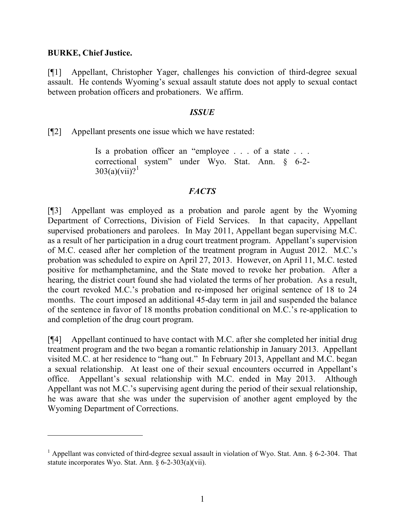### **BURKE, Chief Justice.**

 $\overline{a}$ 

[¶1] Appellant, Christopher Yager, challenges his conviction of third-degree sexual assault. He contends Wyoming's sexual assault statute does not apply to sexual contact between probation officers and probationers. We affirm.

#### *ISSUE*

[¶2] Appellant presents one issue which we have restated:

Is a probation officer an "employee . . . of a state . . . correctional system" under Wyo. Stat. Ann. § 6-2-  $303(a)(vii)?<sup>1</sup>$ 

## *FACTS*

[¶3] Appellant was employed as a probation and parole agent by the Wyoming Department of Corrections, Division of Field Services. In that capacity, Appellant supervised probationers and parolees. In May 2011, Appellant began supervising M.C. as a result of her participation in a drug court treatment program. Appellant's supervision of M.C. ceased after her completion of the treatment program in August 2012. M.C.'s probation was scheduled to expire on April 27, 2013. However, on April 11, M.C. tested positive for methamphetamine, and the State moved to revoke her probation. After a hearing, the district court found she had violated the terms of her probation. As a result, the court revoked M.C.'s probation and re-imposed her original sentence of 18 to 24 months. The court imposed an additional 45-day term in jail and suspended the balance of the sentence in favor of 18 months probation conditional on M.C.'s re-application to and completion of the drug court program.

[¶4] Appellant continued to have contact with M.C. after she completed her initial drug treatment program and the two began a romantic relationship in January 2013. Appellant visited M.C. at her residence to "hang out." In February 2013, Appellant and M.C. began a sexual relationship. At least one of their sexual encounters occurred in Appellant's office. Appellant's sexual relationship with M.C. ended in May 2013. Although Appellant was not M.C.'s supervising agent during the period of their sexual relationship, he was aware that she was under the supervision of another agent employed by the Wyoming Department of Corrections.

<sup>&</sup>lt;sup>1</sup> Appellant was convicted of third-degree sexual assault in violation of Wyo. Stat. Ann.  $\S$  6-2-304. That statute incorporates Wyo. Stat. Ann. § 6-2-303(a)(vii).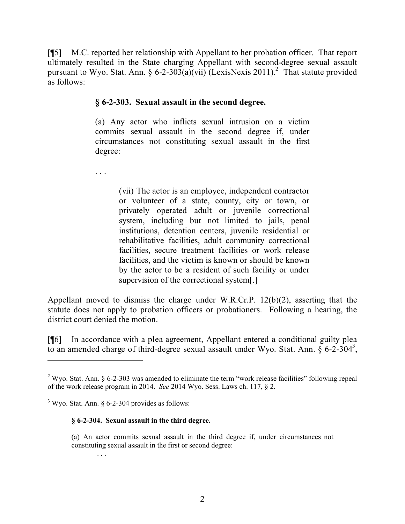[¶5] M.C. reported her relationship with Appellant to her probation officer. That report ultimately resulted in the State charging Appellant with second-degree sexual assault pursuant to Wyo. Stat. Ann. § 6-2-303(a)(vii) (LexisNexis 2011).<sup>2</sup> That statute provided as follows:

## **§ 6-2-303. Sexual assault in the second degree.**

(a) Any actor who inflicts sexual intrusion on a victim commits sexual assault in the second degree if, under circumstances not constituting sexual assault in the first degree:

. . .

(vii) The actor is an employee, independent contractor or volunteer of a state, county, city or town, or privately operated adult or juvenile correctional system, including but not limited to jails, penal institutions, detention centers, juvenile residential or rehabilitative facilities, adult community correctional facilities, secure treatment facilities or work release facilities, and the victim is known or should be known by the actor to be a resident of such facility or under supervision of the correctional system[.]

Appellant moved to dismiss the charge under W.R.Cr.P. 12(b)(2), asserting that the statute does not apply to probation officers or probationers. Following a hearing, the district court denied the motion.

[¶6] In accordance with a plea agreement, Appellant entered a conditional guilty plea to an amended charge of third-degree sexual assault under Wyo. Stat. Ann.  $\S 6$ -2-304<sup>3</sup>,

#### **§ 6-2-304. Sexual assault in the third degree.**

. . .

<sup>&</sup>lt;sup>2</sup> Wyo. Stat. Ann. § 6-2-303 was amended to eliminate the term "work release facilities" following repeal of the work release program in 2014. *See* 2014 Wyo. Sess. Laws ch. 117, § 2.

 $3$  Wyo. Stat. Ann. § 6-2-304 provides as follows:

<sup>(</sup>a) An actor commits sexual assault in the third degree if, under circumstances not constituting sexual assault in the first or second degree: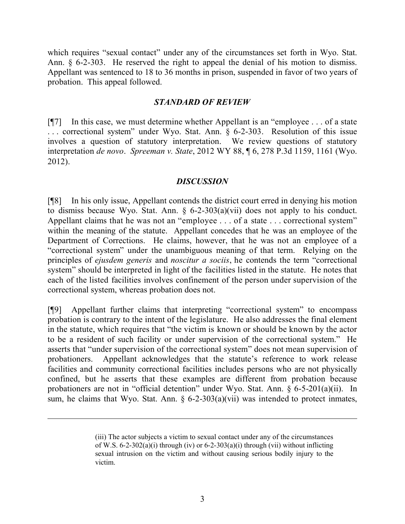which requires "sexual contact" under any of the circumstances set forth in Wyo. Stat. Ann. § 6-2-303. He reserved the right to appeal the denial of his motion to dismiss. Appellant was sentenced to 18 to 36 months in prison, suspended in favor of two years of probation. This appeal followed.

## *STANDARD OF REVIEW*

[¶7] In this case, we must determine whether Appellant is an "employee . . . of a state . . . correctional system" under Wyo. Stat. Ann. § 6-2-303. Resolution of this issue involves a question of statutory interpretation. We review questions of statutory interpretation *de novo*. *Spreeman v. State*, 2012 WY 88, ¶ 6, 278 P.3d 1159, 1161 (Wyo. 2012).

## *DISCUSSION*

[¶8] In his only issue, Appellant contends the district court erred in denying his motion to dismiss because Wyo. Stat. Ann.  $\S$  6-2-303(a)(vii) does not apply to his conduct. Appellant claims that he was not an "employee . . . of a state . . . correctional system" within the meaning of the statute. Appellant concedes that he was an employee of the Department of Corrections. He claims, however, that he was not an employee of a "correctional system" under the unambiguous meaning of that term. Relying on the principles of *ejusdem generis* and *noscitur a sociis*, he contends the term "correctional system" should be interpreted in light of the facilities listed in the statute. He notes that each of the listed facilities involves confinement of the person under supervision of the correctional system, whereas probation does not.

[¶9] Appellant further claims that interpreting "correctional system" to encompass probation is contrary to the intent of the legislature. He also addresses the final element in the statute, which requires that "the victim is known or should be known by the actor to be a resident of such facility or under supervision of the correctional system." He asserts that "under supervision of the correctional system" does not mean supervision of probationers. Appellant acknowledges that the statute's reference to work release facilities and community correctional facilities includes persons who are not physically confined, but he asserts that these examples are different from probation because probationers are not in "official detention" under Wyo. Stat. Ann. § 6-5-201(a)(ii). In sum, he claims that Wyo. Stat. Ann.  $\S$  6-2-303(a)(vii) was intended to protect inmates,

 $\overline{a}$ 

<sup>(</sup>iii) The actor subjects a victim to sexual contact under any of the circumstances of W.S.  $6-2-302(a)(i)$  through (iv) or  $6-2-303(a)(i)$  through (vii) without inflicting sexual intrusion on the victim and without causing serious bodily injury to the victim.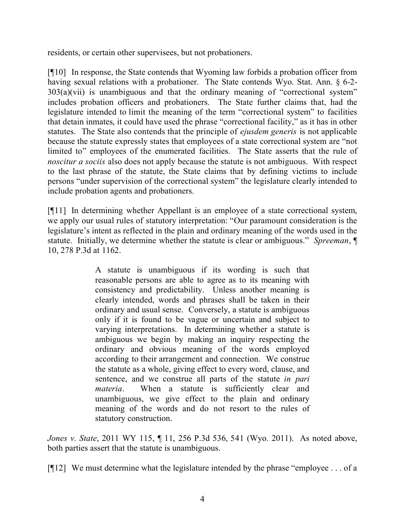residents, or certain other supervisees, but not probationers.

[¶10] In response, the State contends that Wyoming law forbids a probation officer from having sexual relations with a probationer. The State contends Wyo. Stat. Ann. § 6-2-303(a)(vii) is unambiguous and that the ordinary meaning of "correctional system" includes probation officers and probationers. The State further claims that, had the legislature intended to limit the meaning of the term "correctional system" to facilities that detain inmates, it could have used the phrase "correctional facility," as it has in other statutes. The State also contends that the principle of *ejusdem generis* is not applicable because the statute expressly states that employees of a state correctional system are "not limited to" employees of the enumerated facilities. The State asserts that the rule of *noscitur a sociis* also does not apply because the statute is not ambiguous. With respect to the last phrase of the statute, the State claims that by defining victims to include persons "under supervision of the correctional system" the legislature clearly intended to include probation agents and probationers.

[¶11] In determining whether Appellant is an employee of a state correctional system, we apply our usual rules of statutory interpretation: "Our paramount consideration is the legislature's intent as reflected in the plain and ordinary meaning of the words used in the statute. Initially, we determine whether the statute is clear or ambiguous." *Spreeman*, ¶ 10, 278 P.3d at 1162.

> A statute is unambiguous if its wording is such that reasonable persons are able to agree as to its meaning with consistency and predictability. Unless another meaning is clearly intended, words and phrases shall be taken in their ordinary and usual sense. Conversely, a statute is ambiguous only if it is found to be vague or uncertain and subject to varying interpretations. In determining whether a statute is ambiguous we begin by making an inquiry respecting the ordinary and obvious meaning of the words employed according to their arrangement and connection. We construe the statute as a whole, giving effect to every word, clause, and sentence, and we construe all parts of the statute *in pari materia*. When a statute is sufficiently clear and unambiguous, we give effect to the plain and ordinary meaning of the words and do not resort to the rules of statutory construction.

*Jones v. State*, 2011 WY 115, ¶ 11, 256 P.3d 536, 541 (Wyo. 2011). As noted above, both parties assert that the statute is unambiguous.

[¶12] We must determine what the legislature intended by the phrase "employee . . . of a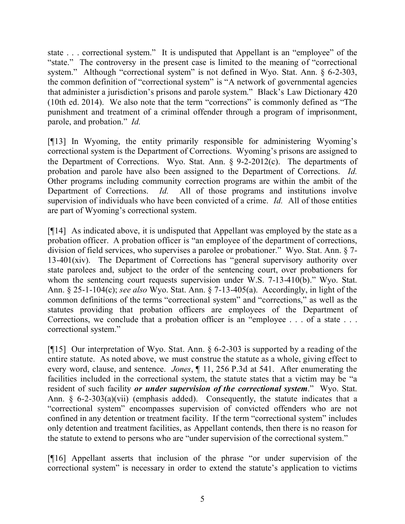state . . . correctional system." It is undisputed that Appellant is an "employee" of the "state." The controversy in the present case is limited to the meaning of "correctional system." Although "correctional system" is not defined in Wyo. Stat. Ann. § 6-2-303, the common definition of "correctional system" is "A network of governmental agencies that administer a jurisdiction's prisons and parole system." Black's Law Dictionary 420 (10th ed. 2014). We also note that the term "corrections" is commonly defined as "The punishment and treatment of a criminal offender through a program of imprisonment, parole, and probation." *Id.* 

[¶13] In Wyoming, the entity primarily responsible for administering Wyoming's correctional system is the Department of Corrections. Wyoming's prisons are assigned to the Department of Corrections. Wyo. Stat. Ann. § 9-2-2012(c). The departments of probation and parole have also been assigned to the Department of Corrections. *Id.* Other programs including community correction programs are within the ambit of the Department of Corrections. *Id.* All of those programs and institutions involve supervision of individuals who have been convicted of a crime. *Id.* All of those entities are part of Wyoming's correctional system.

[¶14] As indicated above, it is undisputed that Appellant was employed by the state as a probation officer. A probation officer is "an employee of the department of corrections, division of field services, who supervises a parolee or probationer." Wyo. Stat. Ann. § 7- 13-401(xiv). The Department of Corrections has "general supervisory authority over state parolees and, subject to the order of the sentencing court, over probationers for whom the sentencing court requests supervision under W.S. 7-13-410(b)." Wyo. Stat. Ann. § 25-1-104(c); *see also* Wyo. Stat. Ann. § 7-13-405(a). Accordingly, in light of the common definitions of the terms "correctional system" and "corrections," as well as the statutes providing that probation officers are employees of the Department of Corrections, we conclude that a probation officer is an "employee . . . of a state . . . correctional system."

[ $[15]$  Our interpretation of Wyo. Stat. Ann. § 6-2-303 is supported by a reading of the entire statute. As noted above, we must construe the statute as a whole, giving effect to every word, clause, and sentence. *Jones*, ¶ 11, 256 P.3d at 541. After enumerating the facilities included in the correctional system, the statute states that a victim may be "a resident of such facility *or under supervision of the correctional system*." Wyo. Stat. Ann. § 6-2-303(a)(vii) (emphasis added). Consequently, the statute indicates that a "correctional system" encompasses supervision of convicted offenders who are not confined in any detention or treatment facility. If the term "correctional system" includes only detention and treatment facilities, as Appellant contends, then there is no reason for the statute to extend to persons who are "under supervision of the correctional system."

[¶16] Appellant asserts that inclusion of the phrase "or under supervision of the correctional system" is necessary in order to extend the statute's application to victims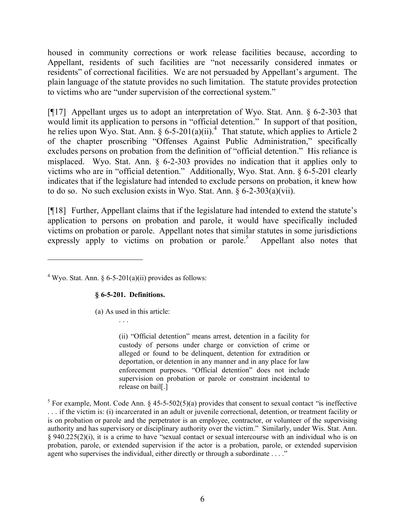housed in community corrections or work release facilities because, according to Appellant, residents of such facilities are "not necessarily considered inmates or residents" of correctional facilities. We are not persuaded by Appellant's argument. The plain language of the statute provides no such limitation. The statute provides protection to victims who are "under supervision of the correctional system."

[¶17] Appellant urges us to adopt an interpretation of Wyo. Stat. Ann. § 6-2-303 that would limit its application to persons in "official detention." In support of that position, he relies upon Wyo. Stat. Ann. § 6-5-201(a)(ii).<sup>4</sup> That statute, which applies to Article 2 of the chapter proscribing "Offenses Against Public Administration," specifically excludes persons on probation from the definition of "official detention." His reliance is misplaced. Wyo. Stat. Ann.  $\S$  6-2-303 provides no indication that it applies only to victims who are in "official detention." Additionally, Wyo. Stat. Ann. § 6-5-201 clearly indicates that if the legislature had intended to exclude persons on probation, it knew how to do so. No such exclusion exists in Wyo. Stat. Ann. § 6-2-303(a)(vii).

[¶18] Further, Appellant claims that if the legislature had intended to extend the statute's application to persons on probation and parole, it would have specifically included victims on probation or parole. Appellant notes that similar statutes in some jurisdictions expressly apply to victims on probation or parole.<sup>5</sup> Appellant also notes that

<sup>4</sup> Wyo. Stat. Ann. § 6-5-201(a)(ii) provides as follows:

#### **§ 6-5-201. Definitions.**

(a) As used in this article:

. . .

(ii) "Official detention" means arrest, detention in a facility for custody of persons under charge or conviction of crime or alleged or found to be delinquent, detention for extradition or deportation, or detention in any manner and in any place for law enforcement purposes. "Official detention" does not include supervision on probation or parole or constraint incidental to release on bail[.]

<sup>5</sup> For example, Mont. Code Ann. § 45-5-502(5)(a) provides that consent to sexual contact "is ineffective . . . if the victim is: (i) incarcerated in an adult or juvenile correctional, detention, or treatment facility or is on probation or parole and the perpetrator is an employee, contractor, or volunteer of the supervising authority and has supervisory or disciplinary authority over the victim." Similarly, under Wis. Stat. Ann. § 940.225(2)(i), it is a crime to have "sexual contact or sexual intercourse with an individual who is on probation, parole, or extended supervision if the actor is a probation, parole, or extended supervision agent who supervises the individual, either directly or through a subordinate . . . ."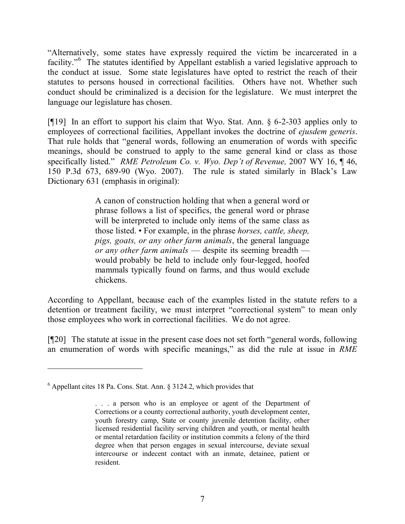"Alternatively, some states have expressly required the victim be incarcerated in a facility."<sup>6</sup> The statutes identified by Appellant establish a varied legislative approach to the conduct at issue. Some state legislatures have opted to restrict the reach of their statutes to persons housed in correctional facilities. Others have not. Whether such conduct should be criminalized is a decision for the legislature. We must interpret the language our legislature has chosen.

[¶19] In an effort to support his claim that Wyo. Stat. Ann. § 6-2-303 applies only to employees of correctional facilities, Appellant invokes the doctrine of *ejusdem generis*. That rule holds that "general words, following an enumeration of words with specific meanings, should be construed to apply to the same general kind or class as those specifically listed." *RME Petroleum Co. v. Wyo. Dep't of Revenue,* 2007 WY 16, ¶ 46, 150 P.3d 673, 689-90 (Wyo. 2007). The rule is stated similarly in Black's Law Dictionary 631 (emphasis in original):

> A canon of construction holding that when a general word or phrase follows a list of specifics, the general word or phrase will be interpreted to include only items of the same class as those listed. • For example, in the phrase *horses, cattle, sheep, pigs, goats, or any other farm animals*, the general language *or any other farm animals* — despite its seeming breadth would probably be held to include only four-legged, hoofed mammals typically found on farms, and thus would exclude chickens.

According to Appellant, because each of the examples listed in the statute refers to a detention or treatment facility, we must interpret "correctional system" to mean only those employees who work in correctional facilities. We do not agree.

[¶20] The statute at issue in the present case does not set forth "general words, following an enumeration of words with specific meanings," as did the rule at issue in *RME* 

 $6$  Appellant cites 18 Pa. Cons. Stat. Ann.  $8$  3124.2, which provides that

<sup>. . .</sup> a person who is an employee or agent of the Department of Corrections or a county correctional authority, youth development center, youth forestry camp, State or county juvenile detention facility, other licensed residential facility serving children and youth, or mental health or mental retardation facility or institution commits a felony of the third degree when that person engages in sexual intercourse, deviate sexual intercourse or indecent contact with an inmate, detainee, patient or resident.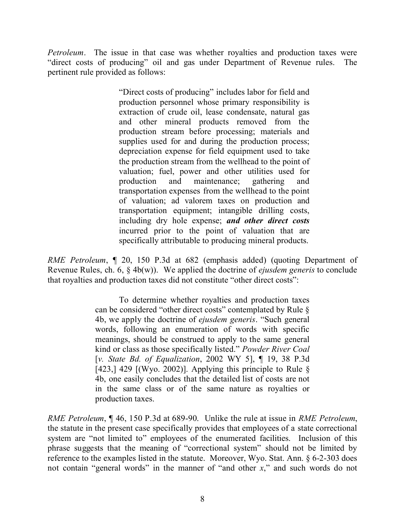*Petroleum*. The issue in that case was whether royalties and production taxes were "direct costs of producing" oil and gas under Department of Revenue rules. The pertinent rule provided as follows:

> "Direct costs of producing" includes labor for field and production personnel whose primary responsibility is extraction of crude oil, lease condensate, natural gas and other mineral products removed from the production stream before processing; materials and supplies used for and during the production process; depreciation expense for field equipment used to take the production stream from the wellhead to the point of valuation; fuel, power and other utilities used for production and maintenance; gathering and transportation expenses from the wellhead to the point of valuation; ad valorem taxes on production and transportation equipment; intangible drilling costs, including dry hole expense; *and other direct costs*  incurred prior to the point of valuation that are specifically attributable to producing mineral products.

*RME Petroleum*, ¶ 20, 150 P.3d at 682 (emphasis added) (quoting Department of Revenue Rules, ch. 6, § 4b(w)). We applied the doctrine of *ejusdem generis* to conclude that royalties and production taxes did not constitute "other direct costs":

> To determine whether royalties and production taxes can be considered "other direct costs" contemplated by Rule § 4b, we apply the doctrine of *ejusdem generis*. "Such general words, following an enumeration of words with specific meanings, should be construed to apply to the same general kind or class as those specifically listed." *Powder River Coal* [*v. State Bd. of Equalization*, 2002 WY 5], ¶ 19, 38 P.3d [423,] 429 [(Wyo. 2002)]. Applying this principle to Rule  $\delta$ 4b, one easily concludes that the detailed list of costs are not in the same class or of the same nature as royalties or production taxes.

*RME Petroleum*, ¶ 46, 150 P.3d at 689-90. Unlike the rule at issue in *RME Petroleum*, the statute in the present case specifically provides that employees of a state correctional system are "not limited to" employees of the enumerated facilities. Inclusion of this phrase suggests that the meaning of "correctional system" should not be limited by reference to the examples listed in the statute. Moreover, Wyo. Stat. Ann. § 6-2-303 does not contain "general words" in the manner of "and other *x*," and such words do not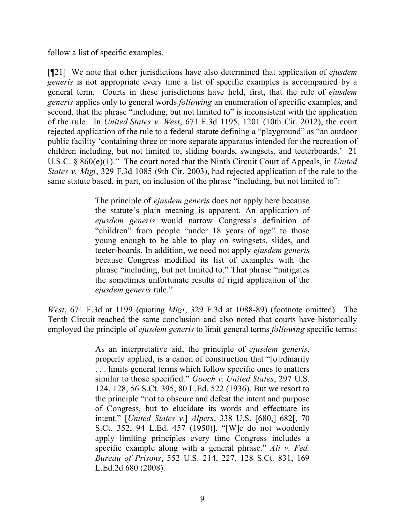follow a list of specific examples.

[¶21] We note that other jurisdictions have also determined that application of *ejusdem generis* is not appropriate every time a list of specific examples is accompanied by a general term. Courts in these jurisdictions have held, first, that the rule of *ejusdem generis* applies only to general words *following* an enumeration of specific examples, and second, that the phrase "including, but not limited to" is inconsistent with the application of the rule. In *United States v. West*, 671 F.3d 1195, 1201 (10th Cir. 2012), the court rejected application of the rule to a federal statute defining a "playground" as "an outdoor public facility 'containing three or more separate apparatus intended for the recreation of children including, but not limited to, sliding boards, swingsets, and teeterboards.' 21 U.S.C. § 860(e)(1)." The court noted that the Ninth Circuit Court of Appeals, in *United States v. Migi*, 329 F.3d 1085 (9th Cir. 2003), had rejected application of the rule to the same statute based, in part, on inclusion of the phrase "including, but not limited to":

> The principle of *ejusdem generis* does not apply here because the statute's plain meaning is apparent. An application of *ejusdem generis* would narrow Congress's definition of "children" from people "under 18 years of age" to those young enough to be able to play on swingsets, slides, and teeter-boards. In addition, we need not apply *ejusdem generis* because Congress modified its list of examples with the phrase "including, but not limited to." That phrase "mitigates the sometimes unfortunate results of rigid application of the *ejusdem generis* rule."

*West*, 671 F.3d at 1199 (quoting *Migi*, 329 F.3d at 1088-89) (footnote omitted). The Tenth Circuit reached the same conclusion and also noted that courts have historically employed the principle of *ejusdem generis* to limit general terms *following* specific terms:

> As an interpretative aid, the principle of *ejusdem generis*, properly applied, is a canon of construction that "[o]rdinarily . . . limits general terms which follow specific ones to matters similar to those specified." *Gooch v. United States*, 297 U.S. 124, 128, 56 S.Ct. 395, 80 L.Ed. 522 (1936). But we resort to the principle "not to obscure and defeat the intent and purpose of Congress, but to elucidate its words and effectuate its intent." [*United States v.*] *Alpers*, 338 U.S. [680,] 682[, 70 S.Ct. 352, 94 L.Ed. 457 (1950)]. "[W]e do not woodenly apply limiting principles every time Congress includes a specific example along with a general phrase." *Ali v. Fed. Bureau of Prisons*, 552 U.S. 214, 227, 128 S.Ct. 831, 169 L.Ed.2d 680 (2008).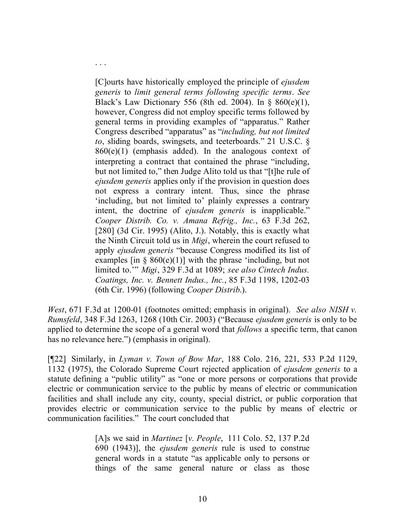[C]ourts have historically employed the principle of *ejusdem generis* to *limit general terms following specific terms*. *See* Black's Law Dictionary 556 (8th ed. 2004). In § 860(e)(1), however, Congress did not employ specific terms followed by general terms in providing examples of "apparatus." Rather Congress described "apparatus" as "*including, but not limited to*, sliding boards, swingsets, and teeterboards." 21 U.S.C. §  $860(e)(1)$  (emphasis added). In the analogous context of interpreting a contract that contained the phrase "including, but not limited to," then Judge Alito told us that "[t]he rule of *ejusdem generis* applies only if the provision in question does not express a contrary intent. Thus, since the phrase 'including, but not limited to' plainly expresses a contrary intent, the doctrine of *ejusdem generis* is inapplicable." *Cooper Distrib. Co. v. Amana Refrig., Inc.*, 63 F.3d 262, [280] (3d Cir. 1995) (Alito, J.). Notably, this is exactly what the Ninth Circuit told us in *Migi*, wherein the court refused to apply *ejusdem generis* "because Congress modified its list of examples [in  $\S$  860(e)(1)] with the phrase 'including, but not limited to.'" *Migi*, 329 F.3d at 1089; *see also Cintech Indus. Coatings, Inc. v. Bennett Indus., Inc.*, 85 F.3d 1198, 1202-03 (6th Cir. 1996) (following *Cooper Distrib*.).

. . .

*West*, 671 F.3d at 1200-01 (footnotes omitted; emphasis in original). *See also NISH v. Rumsfeld*, 348 F.3d 1263, 1268 (10th Cir. 2003) ("Because *ejusdem generis* is only to be applied to determine the scope of a general word that *follows* a specific term, that canon has no relevance here.") (emphasis in original).

[¶22] Similarly, in *Lyman v. Town of Bow Mar*, 188 Colo. 216, 221, 533 P.2d 1129, 1132 (1975), the Colorado Supreme Court rejected application of *ejusdem generis* to a statute defining a "public utility" as "one or more persons or corporations that provide electric or communication service to the public by means of electric or communication facilities and shall include any city, county, special district, or public corporation that provides electric or communication service to the public by means of electric or communication facilities." The court concluded that

> [A]s we said in *Martinez* [*v. People*, 111 Colo. 52, 137 P.2d 690 (1943)], the *ejusdem generis* rule is used to construe general words in a statute "as applicable only to persons or things of the same general nature or class as those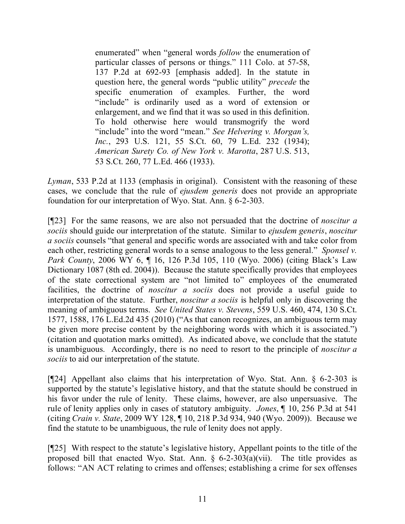enumerated" when "general words *follow* the enumeration of particular classes of persons or things." 111 Colo. at 57-58, 137 P.2d at 692-93 [emphasis added]. In the statute in question here, the general words "public utility" *precede* the specific enumeration of examples. Further, the word "include" is ordinarily used as a word of extension or enlargement, and we find that it was so used in this definition. To hold otherwise here would transmogrify the word "include" into the word "mean." *See Helvering v. Morgan's, Inc.*, 293 U.S. 121, 55 S.Ct. 60, 79 L.Ed. 232 (1934); *American Surety Co. of New York v. Marotta*, 287 U.S. 513, 53 S.Ct. 260, 77 L.Ed. 466 (1933).

*Lyman*, 533 P.2d at 1133 (emphasis in original). Consistent with the reasoning of these cases, we conclude that the rule of *ejusdem generis* does not provide an appropriate foundation for our interpretation of Wyo. Stat. Ann. § 6-2-303.

[¶23] For the same reasons, we are also not persuaded that the doctrine of *noscitur a sociis* should guide our interpretation of the statute. Similar to *ejusdem generis*, *noscitur a sociis* counsels "that general and specific words are associated with and take color from each other, restricting general words to a sense analogous to the less general." *Sponsel v. Park County*, 2006 WY 6, ¶ 16, 126 P.3d 105, 110 (Wyo. 2006) (citing Black's Law Dictionary 1087 (8th ed. 2004)). Because the statute specifically provides that employees of the state correctional system are "not limited to" employees of the enumerated facilities, the doctrine of *noscitur a sociis* does not provide a useful guide to interpretation of the statute. Further, *noscitur a sociis* is helpful only in discovering the meaning of ambiguous terms. *See United States v. Stevens*, 559 U.S. 460, 474, 130 S.Ct. 1577, 1588, 176 L.Ed.2d 435 (2010) ("As that canon recognizes, an ambiguous term may be given more precise content by the neighboring words with which it is associated.") (citation and quotation marks omitted). As indicated above, we conclude that the statute is unambiguous. Accordingly, there is no need to resort to the principle of *noscitur a sociis* to aid our interpretation of the statute.

[¶24] Appellant also claims that his interpretation of Wyo. Stat. Ann. § 6-2-303 is supported by the statute's legislative history, and that the statute should be construed in his favor under the rule of lenity. These claims, however, are also unpersuasive. The rule of lenity applies only in cases of statutory ambiguity. *Jones*, ¶ 10, 256 P.3d at 541 (citing *Crain v. State*, 2009 WY 128, ¶ 10, 218 P.3d 934, 940 (Wyo. 2009)). Because we find the statute to be unambiguous, the rule of lenity does not apply.

[¶25] With respect to the statute's legislative history, Appellant points to the title of the proposed bill that enacted Wyo. Stat. Ann.  $\S$  6-2-303(a)(vii). The title provides as follows: "AN ACT relating to crimes and offenses; establishing a crime for sex offenses